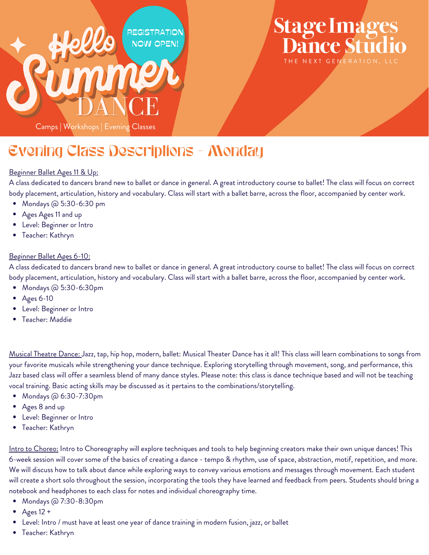

### **Stage Images Dance Stud** THE NEXT GENERATION, LLC

Evening Class Descriptions - Monday

#### Beginner Ballet Ages 11 & Up:

A class dedicated to dancers brand new to ballet or dance in general. A great introductory course to ballet! The class will focus on correct body placement, articulation, history and vocabulary. Class will start with a ballet barre, across the floor, accompanied by center work.

- Mondays @ 5:30-6:30 pm
- Ages Ages 11 and up
- Level: Beginner or Intro
- Teacher: Kathryn

#### Beginner Ballet Ages 6-10:

A class dedicated to dancers brand new to ballet or dance in general. A great introductory course to ballet! The class will focus on correct body placement, articulation, history and vocabulary. Class will start with a ballet barre, across the floor, accompanied by center work.

- Mondays @ 5:30-6:30pm
- Ages 6-10
- Level: Beginner or Intro
- Teacher: Maddie

Musical Theatre Dance: Jazz, tap, hip hop, modern, ballet: Musical Theater Dance has it all! This class will learn combinations to songs from your favorite musicals while strengthening your dance technique. Exploring storytelling through movement, song, and performance, this Jazz based class will offer a seamless blend of many dance styles. Please note: this class is dance technique based and will not be teaching vocal training. Basic acting skills may be discussed as it pertains to the combinations/storytelling.

- Mondays @ 6:30-7:30pm
- Ages 8 and up
- Level: Beginner or Intro
- Teacher: Kathryn

Intro to Choreo: Intro to Choreography will explore techniques and tools to help beginning creators make their own unique dances! This 6-week session will cover some of the basics of creating a dance - tempo & rhythm, use of space, abstraction, motif, repetition, and more. We will discuss how to talk about dance while exploring ways to convey various emotions and messages through movement. Each student will create a short solo throughout the session, incorporating the tools they have learned and feedback from peers. Students should bring a notebook and headphones to each class for notes and individual choreography time.

- Mondays @ 7:30-8:30pm
- Ages 12 +
- Level: Intro / must have at least one year of dance training in modern fusion, jazz, or ballet
- Teacher: Kathryn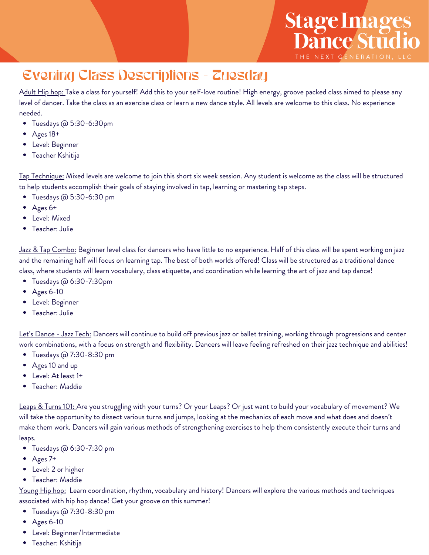## Evening Class Descriptions - Tuesday

Adult Hip hop: Take a class for yourself! Add this to your self-love routine! High energy, groove packed class aimed to please any level of dancer. Take the class as an exercise class or learn a new dance style. All levels are welcome to this class. No experience needed.

Stage Images<br>Dance Studio

THE NEXT GENERATION, LL

- Tuesdays @ 5:30-6:30pm
- Ages 18+
- Level: Beginner
- Teacher Kshitija

Tap Technique: Mixed levels are welcome to join this short six week session. Any student is welcome as the class will be structured to help students accomplish their goals of staying involved in tap, learning or mastering tap steps.

- Tuesdays @ 5:30-6:30 pm  $\bullet$
- Ages 6+
- $\bullet$ Level: Mixed
- Teacher: Julie

Jazz & Tap Combo: Beginner level class for dancers who have little to no experience. Half of this class will be spent working on jazz and the remaining half will focus on learning tap. The best of both worlds offered! Class will be structured as a traditional dance class, where students will learn vocabulary, class etiquette, and coordination while learning the art of jazz and tap dance!

- Tuesdays @ 6:30-7:30pm
- Ages 6-10
- Level: Beginner
- Teacher: Julie

Let's Dance - Jazz Tech: Dancers will continue to build off previous jazz or ballet training, working through progressions and center work combinations, with a focus on strength and flexibility. Dancers will leave feeling refreshed on their jazz technique and abilities!

- Tuesdays @ 7:30-8:30 pm
- Ages 10 and up
- Level: At least 1+
- Teacher: Maddie

Leaps & Turns 101: Are you struggling with your turns? Or your Leaps? Or just want to build your vocabulary of movement? We will take the opportunity to dissect various turns and jumps, looking at the mechanics of each move and what does and doesn't make them work. Dancers will gain various methods of strengthening exercises to help them consistently execute their turns and leaps.

- Tuesdays @ 6:30-7:30 pm
- Ages 7+
- Level: 2 or higher
- Teacher: Maddie

Young Hip hop: Learn coordination, rhythm, vocabulary and history! Dancers will explore the various methods and techniques associated with hip hop dance! Get your groove on this summer!

- Tuesdays @ 7:30-8:30 pm
- Ages 6-10
- Level: Beginner/Intermediate
- Teacher: Kshitija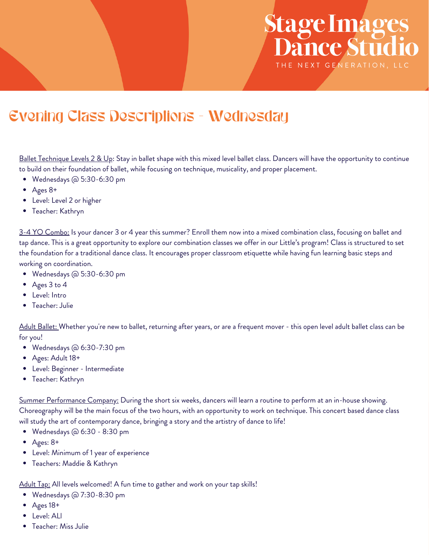# Stage Images<br>Dance Studio THE NEXT GENERATION, LLC

### Evening Class Descriptions - Wednesday

Ballet Technique Levels 2 & Up: Stay in ballet shape with this mixed level ballet class. Dancers will have the opportunity to continue to build on their foundation of ballet, while focusing on technique, musicality, and proper placement.

- Wednesdays @ 5:30-6:30 pm
- Ages 8+
- Level: Level 2 or higher
- Teacher: Kathryn

3-4 YO Combo: Is your dancer 3 or 4 year this summer? Enroll them now into a mixed combination class, focusing on ballet and tap dance. This is a great opportunity to explore our combination classes we offer in our Little's program! Class is structured to set the foundation for a traditional dance class. It encourages proper classroom etiquette while having fun learning basic steps and working on coordination.

- Wednesdays @ 5:30-6:30 pm
- Ages 3 to 4
- Level: Intro
- Teacher: Julie

Adult Ballet: Whether you're new to ballet, returning after years, or are a frequent mover - this open level adult ballet class can be for you!

- Wednesdays @ 6:30-7:30 pm
- Ages: Adult 18+
- Level: Beginner Intermediate
- Teacher: Kathryn

Summer Performance Company: During the short six weeks, dancers will learn a routine to perform at an in-house showing. Choreography will be the main focus of the two hours, with an opportunity to work on technique. This concert based dance class will study the art of contemporary dance, bringing a story and the artistry of dance to life!

- Wednesdays @ 6:30 8:30 pm
- $\bullet$ Ages: 8+
- Level: Minimum of 1 year of experience
- Teachers: Maddie & Kathryn

Adult Tap: All levels welcomed! A fun time to gather and work on your tap skills!

- Wednesdays @ 7:30-8:30 pm
- Ages 18+
- Level: ALl
- Teacher: Miss Julie